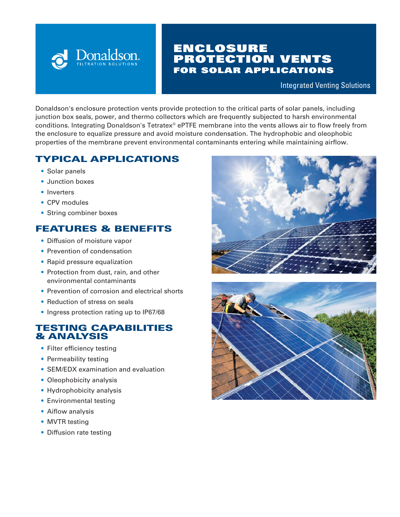

# ENCLOSURE PROTECTION VENTS FOR SOLAR APPLICATIONS

Integrated Venting Solutions

Donaldson's enclosure protection vents provide protection to the critical parts of solar panels, including junction box seals, power, and thermo collectors which are frequently subjected to harsh environmental conditions. Integrating Donaldson's Tetratex® ePTFE membrane into the vents allows air to flow freely from the enclosure to equalize pressure and avoid moisture condensation. The hydrophobic and oleophobic properties of the membrane prevent environmental contaminants entering while maintaining airflow.

# TYPICAL APPLICATIONS

- Solar panels
- Junction boxes
- Inverters
- CPV modules
- String combiner boxes

## FEATURES & BENEFITS

- Diffusion of moisture vapor
- Prevention of condensation
- Rapid pressure equalization
- Protection from dust, rain, and other environmental contaminants
- Prevention of corrosion and electrical shorts
- Reduction of stress on seals
- Ingress protection rating up to IP67/68

### TESTING CAPABILITIES & ANALYSIS

- Filter efficiency testing
- Permeability testing
- SEM/EDX examination and evaluation
- Oleophobicity analysis
- Hydrophobicity analysis
- Environmental testing
- Aiflow analysis
- MVTR testing
- Diffusion rate testing